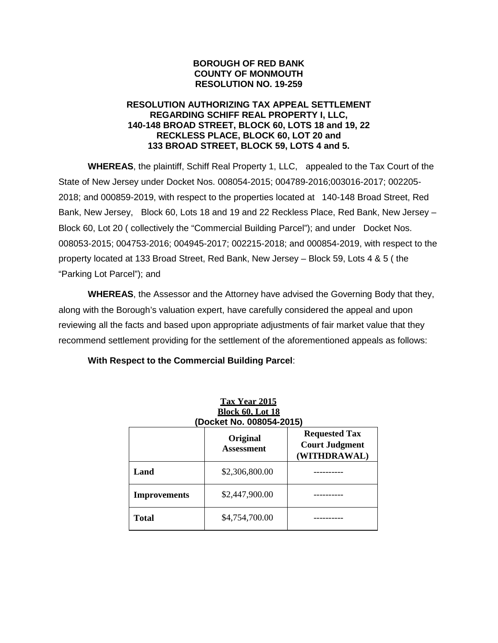### **BOROUGH OF RED BANK COUNTY OF MONMOUTH RESOLUTION NO. 19-259**

### **RESOLUTION AUTHORIZING TAX APPEAL SETTLEMENT REGARDING SCHIFF REAL PROPERTY I, LLC, 140-148 BROAD STREET, BLOCK 60, LOTS 18 and 19, 22 RECKLESS PLACE, BLOCK 60, LOT 20 and 133 BROAD STREET, BLOCK 59, LOTS 4 and 5.**

**WHEREAS**, the plaintiff, Schiff Real Property 1, LLC, appealed to the Tax Court of the State of New Jersey under Docket Nos. 008054-2015; 004789-2016;003016-2017; 002205- 2018; and 000859-2019, with respect to the properties located at 140-148 Broad Street, Red Bank, New Jersey, Block 60, Lots 18 and 19 and 22 Reckless Place, Red Bank, New Jersey – Block 60, Lot 20 ( collectively the "Commercial Building Parcel"); and under Docket Nos. 008053-2015; 004753-2016; 004945-2017; 002215-2018; and 000854-2019, with respect to the property located at 133 Broad Street, Red Bank, New Jersey – Block 59, Lots 4 & 5 ( the "Parking Lot Parcel"); and

**WHEREAS**, the Assessor and the Attorney have advised the Governing Body that they, along with the Borough's valuation expert, have carefully considered the appeal and upon reviewing all the facts and based upon appropriate adjustments of fair market value that they recommend settlement providing for the settlement of the aforementioned appeals as follows:

| <b>Tax Year 2015</b><br><b>Block 60, Lot 18</b><br>(Docket No. 008054-2015) |                               |                                                               |
|-----------------------------------------------------------------------------|-------------------------------|---------------------------------------------------------------|
|                                                                             | Original<br><b>Assessment</b> | <b>Requested Tax</b><br><b>Court Judgment</b><br>(WITHDRAWAL) |
| Land                                                                        | \$2,306,800.00                |                                                               |
| <b>Improvements</b>                                                         | \$2,447,900.00                |                                                               |
| Total                                                                       | \$4,754,700.00                |                                                               |

**With Respect to the Commercial Building Parcel**: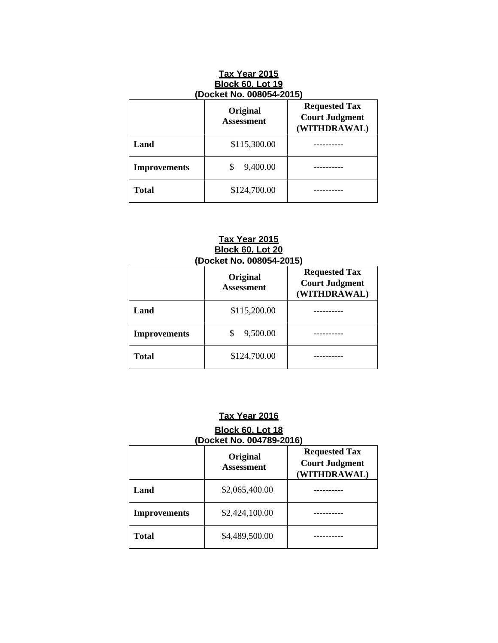| <b>Tax Year 2015</b><br><b>Block 60, Lot 19</b><br>(Docket No. 008054-2015)                    |              |  |
|------------------------------------------------------------------------------------------------|--------------|--|
| <b>Requested Tax</b><br>Original<br><b>Court Judgment</b><br><b>Assessment</b><br>(WITHDRAWAL) |              |  |
| Land                                                                                           | \$115,300.00 |  |
| <b>Improvements</b>                                                                            | 9,400.00     |  |
| <b>Total</b>                                                                                   | \$124,700.00 |  |

#### **Tax Year 2015 Block 60, Lot 20 (Docket No. 008054-2015)**

|                     | Original<br><b>Assessment</b> | <b>Requested Tax</b><br><b>Court Judgment</b><br>(WITHDRAWAL) |
|---------------------|-------------------------------|---------------------------------------------------------------|
| Land                | \$115,200.00                  |                                                               |
| <b>Improvements</b> | 9,500.00                      |                                                               |
| <b>Total</b>        | \$124,700.00                  |                                                               |

# **Tax Year 2016**

### **Block 60, Lot 18 (Docket No. 004789-2016)**

|                     | Original<br><b>Assessment</b> | <b>Requested Tax</b><br><b>Court Judgment</b><br>(WITHDRAWAL) |
|---------------------|-------------------------------|---------------------------------------------------------------|
| Land                | \$2,065,400.00                |                                                               |
| <b>Improvements</b> | \$2,424,100.00                |                                                               |
| <b>Total</b>        | \$4,489,500.00                |                                                               |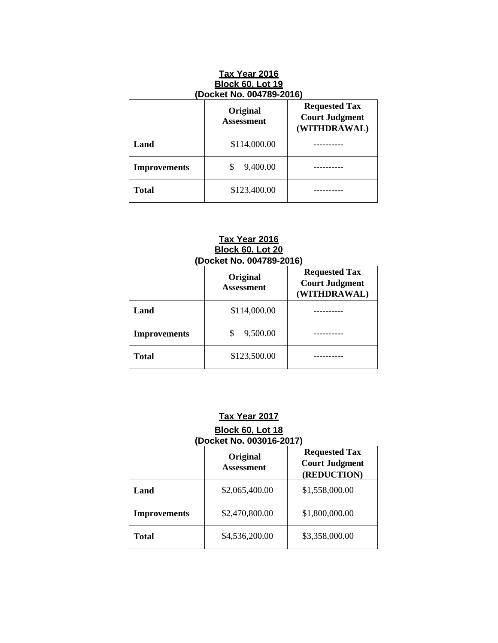| Tax Year 2016<br><b>Block 60, Lot 19</b><br>(Docket No. 004789-2016)                           |                |  |
|------------------------------------------------------------------------------------------------|----------------|--|
| <b>Requested Tax</b><br>Original<br><b>Court Judgment</b><br><b>Assessment</b><br>(WITHDRAWAL) |                |  |
| Land                                                                                           | \$114,000.00   |  |
| <b>Improvements</b>                                                                            | \$<br>9,400.00 |  |
| <b>Total</b>                                                                                   | \$123,400.00   |  |

#### **Tax Year 2016 Block 60, Lot 20 (Docket No. 004789-2016)**

|                     | Original<br><b>Assessment</b> | <b>Requested Tax</b><br><b>Court Judgment</b><br>(WITHDRAWAL) |
|---------------------|-------------------------------|---------------------------------------------------------------|
| Land                | \$114,000.00                  |                                                               |
| <b>Improvements</b> | 9,500.00                      |                                                               |
| <b>Total</b>        | \$123,500.00                  |                                                               |

# **Tax Year 2017**

## **Block 60, Lot 18 (Docket No. 003016-2017)**

|                     | Original<br><b>Assessment</b> | <b>Requested Tax</b><br><b>Court Judgment</b><br>(REDUCTION) |
|---------------------|-------------------------------|--------------------------------------------------------------|
| Land                | \$2,065,400.00                | \$1,558,000.00                                               |
| <b>Improvements</b> | \$2,470,800.00                | \$1,800,000.00                                               |
| Total               | \$4,536,200.00                | \$3,358,000.00                                               |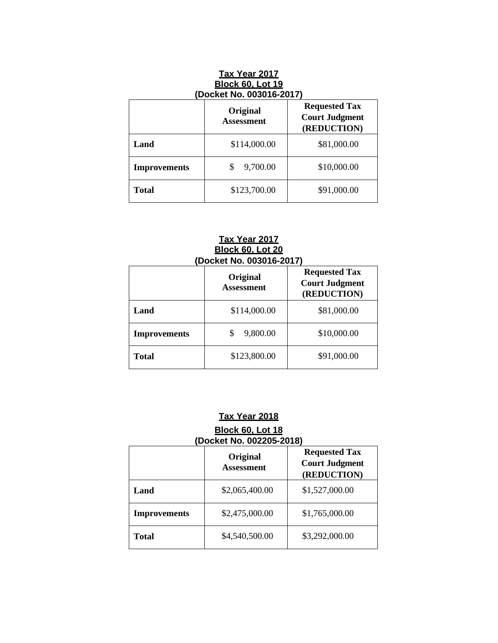| <b>Tax Year 2017</b><br><b>Block 60, Lot 19</b><br>(Docket No. 003016-2017)                   |                |             |
|-----------------------------------------------------------------------------------------------|----------------|-------------|
| <b>Requested Tax</b><br>Original<br><b>Court Judgment</b><br><b>Assessment</b><br>(REDUCTION) |                |             |
| Land                                                                                          | \$114,000.00   | \$81,000.00 |
| <b>Improvements</b>                                                                           | \$<br>9,700.00 | \$10,000.00 |
| <b>Total</b>                                                                                  | \$123,700.00   | \$91,000.00 |

#### **Tax Year 2017 Block 60, Lot 20 (Docket No. 003016-2017)**

|                     | Original<br><b>Assessment</b> | <b>Requested Tax</b><br><b>Court Judgment</b><br>(REDUCTION) |
|---------------------|-------------------------------|--------------------------------------------------------------|
| Land                | \$114,000.00                  | \$81,000.00                                                  |
| <b>Improvements</b> | 9,800.00                      | \$10,000.00                                                  |
| <b>Total</b>        | \$123,800.00                  | \$91,000.00                                                  |

# **Tax Year 2018**

### **Block 60, Lot 18 (Docket No. 002205-2018)**

|                     | Original<br><b>Assessment</b> | <b>Requested Tax</b><br><b>Court Judgment</b><br>(REDUCTION) |
|---------------------|-------------------------------|--------------------------------------------------------------|
| Land                | \$2,065,400.00                | \$1,527,000.00                                               |
| <b>Improvements</b> | \$2,475,000.00                | \$1,765,000.00                                               |
| Total               | \$4,540,500.00                | \$3,292,000.00                                               |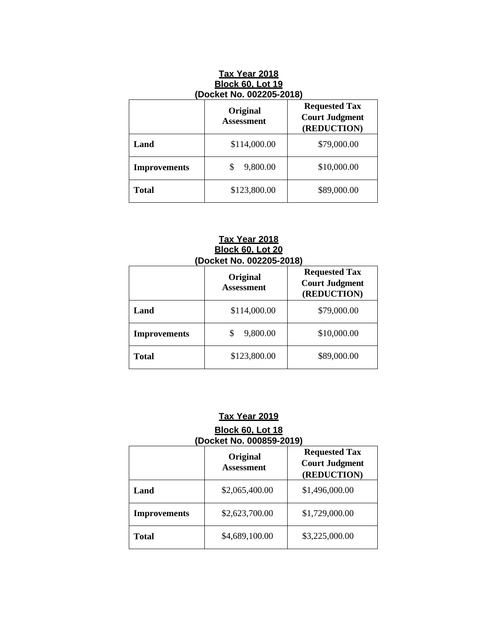| <b>Tax Year 2018</b><br><b>Block 60, Lot 19</b><br>(Docket No. 002205-2018) |                               |                                                              |
|-----------------------------------------------------------------------------|-------------------------------|--------------------------------------------------------------|
|                                                                             | Original<br><b>Assessment</b> | <b>Requested Tax</b><br><b>Court Judgment</b><br>(REDUCTION) |
| Land                                                                        | \$114,000.00                  | \$79,000.00                                                  |
| <b>Improvements</b>                                                         | \$<br>9,800.00                | \$10,000.00                                                  |
| <b>Total</b>                                                                | \$123,800.00                  | \$89,000.00                                                  |

#### **Tax Year 2018 Block 60, Lot 20 (Docket No. 002205-2018)**

|                     | Original<br><b>Assessment</b> | <b>Requested Tax</b><br><b>Court Judgment</b><br>(REDUCTION) |
|---------------------|-------------------------------|--------------------------------------------------------------|
| Land                | \$114,000.00                  | \$79,000.00                                                  |
| <b>Improvements</b> | 9,800.00                      | \$10,000.00                                                  |
| <b>Total</b>        | \$123,800.00                  | \$89,000.00                                                  |

# **Tax Year 2019**

### **Block 60, Lot 18 (Docket No. 000859-2019)**

|                     | Original<br><b>Assessment</b> | <b>Requested Tax</b><br><b>Court Judgment</b><br>(REDUCTION) |
|---------------------|-------------------------------|--------------------------------------------------------------|
| Land                | \$2,065,400.00                | \$1,496,000.00                                               |
| <b>Improvements</b> | \$2,623,700.00                | \$1,729,000.00                                               |
| <b>Total</b>        | \$4,689,100.00                | \$3,225,000.00                                               |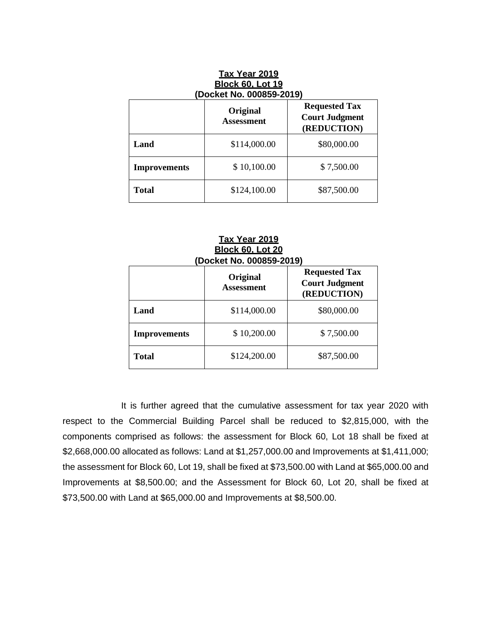| <b>Block 60, Lot 19</b><br>(Docket No. 000859-2019) |                               |                                                              |  |
|-----------------------------------------------------|-------------------------------|--------------------------------------------------------------|--|
|                                                     | Original<br><b>Assessment</b> | <b>Requested Tax</b><br><b>Court Judgment</b><br>(REDUCTION) |  |
| Land                                                | \$114,000.00                  | \$80,000.00                                                  |  |
| <b>Improvements</b>                                 | \$10,100.00                   | \$7,500.00                                                   |  |
| <b>Total</b>                                        | \$124,100.00                  | \$87,500.00                                                  |  |

**Tax Year 2019** 

| <b>Tax Year 2019</b><br><b>Block 60, Lot 20</b><br>(Docket No. 000859-2019) |                               |                                                              |  |
|-----------------------------------------------------------------------------|-------------------------------|--------------------------------------------------------------|--|
|                                                                             | Original<br><b>Assessment</b> | <b>Requested Tax</b><br><b>Court Judgment</b><br>(REDUCTION) |  |
| Land                                                                        | \$114,000.00                  | \$80,000.00                                                  |  |
| <b>Improvements</b>                                                         | \$10,200.00                   | \$7,500.00                                                   |  |
| Total                                                                       | \$124,200.00                  | \$87,500.00                                                  |  |

 It is further agreed that the cumulative assessment for tax year 2020 with respect to the Commercial Building Parcel shall be reduced to \$2,815,000, with the components comprised as follows: the assessment for Block 60, Lot 18 shall be fixed at \$2,668,000.00 allocated as follows: Land at \$1,257,000.00 and Improvements at \$1,411,000; the assessment for Block 60, Lot 19, shall be fixed at \$73,500.00 with Land at \$65,000.00 and Improvements at \$8,500.00; and the Assessment for Block 60, Lot 20, shall be fixed at \$73,500.00 with Land at \$65,000.00 and Improvements at \$8,500.00.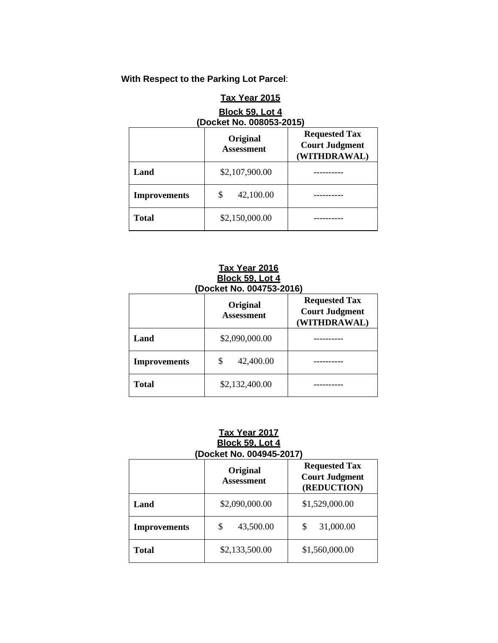# **With Respect to the Parking Lot Parcel**:

# **Tax Year 2015 Block 59, Lot 4 (Docket No. 008053-2015)**

|                     | Original<br><b>Assessment</b> | <b>Requested Tax</b><br><b>Court Judgment</b><br>(WITHDRAWAL) |
|---------------------|-------------------------------|---------------------------------------------------------------|
| Land                | \$2,107,900.00                |                                                               |
| <b>Improvements</b> | 42,100.00                     |                                                               |
| <b>Total</b>        | \$2,150,000.00                |                                                               |

#### **Tax Year 2016 Block 59, Lot 4 (Docket No. 004753-2016)**

|                     | Original<br><b>Assessment</b> | <b>Requested Tax</b><br><b>Court Judgment</b><br>(WITHDRAWAL) |
|---------------------|-------------------------------|---------------------------------------------------------------|
| Land                | \$2,090,000.00                |                                                               |
| <b>Improvements</b> | 42,400.00                     |                                                               |
| <b>Total</b>        | \$2,132,400.00                |                                                               |

## **Tax Year 2017 Block 59, Lot 4 (Docket No. 004945-2017)**

|                     | Original<br><b>Assessment</b> | <b>Requested Tax</b><br><b>Court Judgment</b><br>(REDUCTION) |  |
|---------------------|-------------------------------|--------------------------------------------------------------|--|
| Land                | \$2,090,000.00                | \$1,529,000.00                                               |  |
| <b>Improvements</b> | 43,500.00<br>\$               | 31,000.00<br>S                                               |  |
| Total               | \$2,133,500.00                | \$1,560,000.00                                               |  |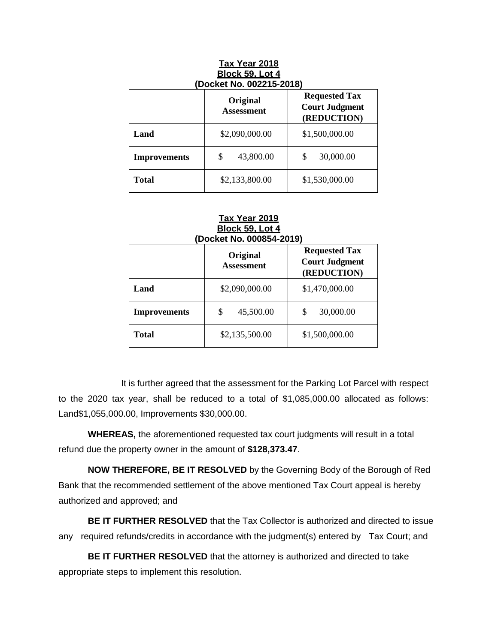| (Docket No. 002215-2018) |                                                              |                |  |
|--------------------------|--------------------------------------------------------------|----------------|--|
|                          | <b>Requested Tax</b><br><b>Court Judgment</b><br>(REDUCTION) |                |  |
| Land                     | \$2,090,000.00                                               | \$1,500,000.00 |  |
| <b>Improvements</b>      | \$<br>43,800.00                                              | S<br>30,000.00 |  |
| Total                    | \$2,133,800.00                                               | \$1,530,000.00 |  |

# **Tax Year 2018 Block 59, Lot 4**

#### **Tax Year 2019 Block 59, Lot 4 (Docket No. 000854-2019)**

|                     | Original<br><b>Assessment</b> | <b>Requested Tax</b><br><b>Court Judgment</b><br>(REDUCTION) |  |  |
|---------------------|-------------------------------|--------------------------------------------------------------|--|--|
| Land                | \$2,090,000.00                | \$1,470,000.00                                               |  |  |
| <b>Improvements</b> | 45,500.00<br>\$               | 30,000.00<br>\$                                              |  |  |
| <b>Total</b>        | \$2,135,500.00                | \$1,500,000.00                                               |  |  |

 It is further agreed that the assessment for the Parking Lot Parcel with respect to the 2020 tax year, shall be reduced to a total of \$1,085,000.00 allocated as follows: Land\$1,055,000.00, Improvements \$30,000.00.

**WHEREAS,** the aforementioned requested tax court judgments will result in a total refund due the property owner in the amount of **\$128,373.47**.

**NOW THEREFORE, BE IT RESOLVED** by the Governing Body of the Borough of Red Bank that the recommended settlement of the above mentioned Tax Court appeal is hereby authorized and approved; and

**BE IT FURTHER RESOLVED** that the Tax Collector is authorized and directed to issue any required refunds/credits in accordance with the judgment(s) entered by Tax Court; and

**BE IT FURTHER RESOLVED** that the attorney is authorized and directed to take appropriate steps to implement this resolution.